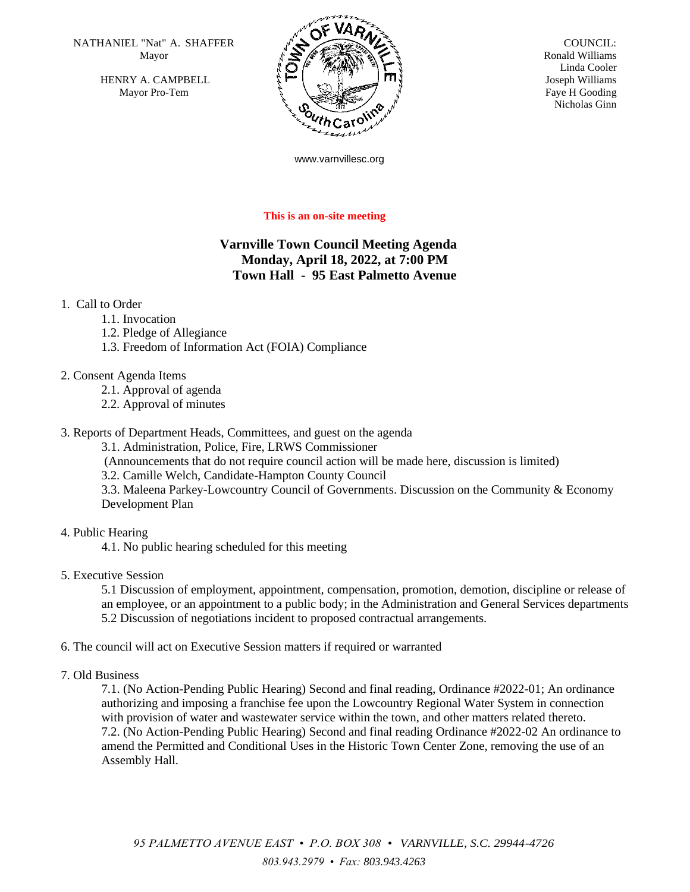NATHANIEL "Nat" A. SHAFFER  $\overline{N}$   $\overline{N}$   $\overline{N}$  COUNCIL: Mayor

HENRY A. CAMPBELL Mayor Pro-Tem



 Ronald Williams Linda Cooler Joseph Williams Faye H Gooding Nicholas Ginn

www.varnvillesc.org

## **This is an on-site meeting**

## **Varnville Town Council Meeting Agenda Monday, April 18, 2022, at 7:00 PM Town Hall - 95 East Palmetto Avenue**

## 1. Call to Order

- 1.1. Invocation
- 1.2. Pledge of Allegiance
- 1.3. Freedom of Information Act (FOIA) Compliance
- 2. Consent Agenda Items
	- 2.1. Approval of agenda
	- 2.2. Approval of minutes

## 3. Reports of Department Heads, Committees, and guest on the agenda

3.1. Administration, Police, Fire, LRWS Commissioner

(Announcements that do not require council action will be made here, discussion is limited)

3.2. Camille Welch, Candidate-Hampton County Council

3.3. Maleena Parkey-Lowcountry Council of Governments. Discussion on the Community & Economy Development Plan

4. Public Hearing

4.1. No public hearing scheduled for this meeting

5. Executive Session

5.1 Discussion of employment, appointment, compensation, promotion, demotion, discipline or release of an employee, or an appointment to a public body; in the Administration and General Services departments 5.2 Discussion of negotiations incident to proposed contractual arrangements.

- 6. The council will act on Executive Session matters if required or warranted
- 7. Old Business

7.1. (No Action-Pending Public Hearing) Second and final reading, Ordinance #2022-01; An ordinance authorizing and imposing a franchise fee upon the Lowcountry Regional Water System in connection with provision of water and wastewater service within the town, and other matters related thereto. 7.2. (No Action-Pending Public Hearing) Second and final reading Ordinance #2022-02 An ordinance to amend the Permitted and Conditional Uses in the Historic Town Center Zone, removing the use of an Assembly Hall.